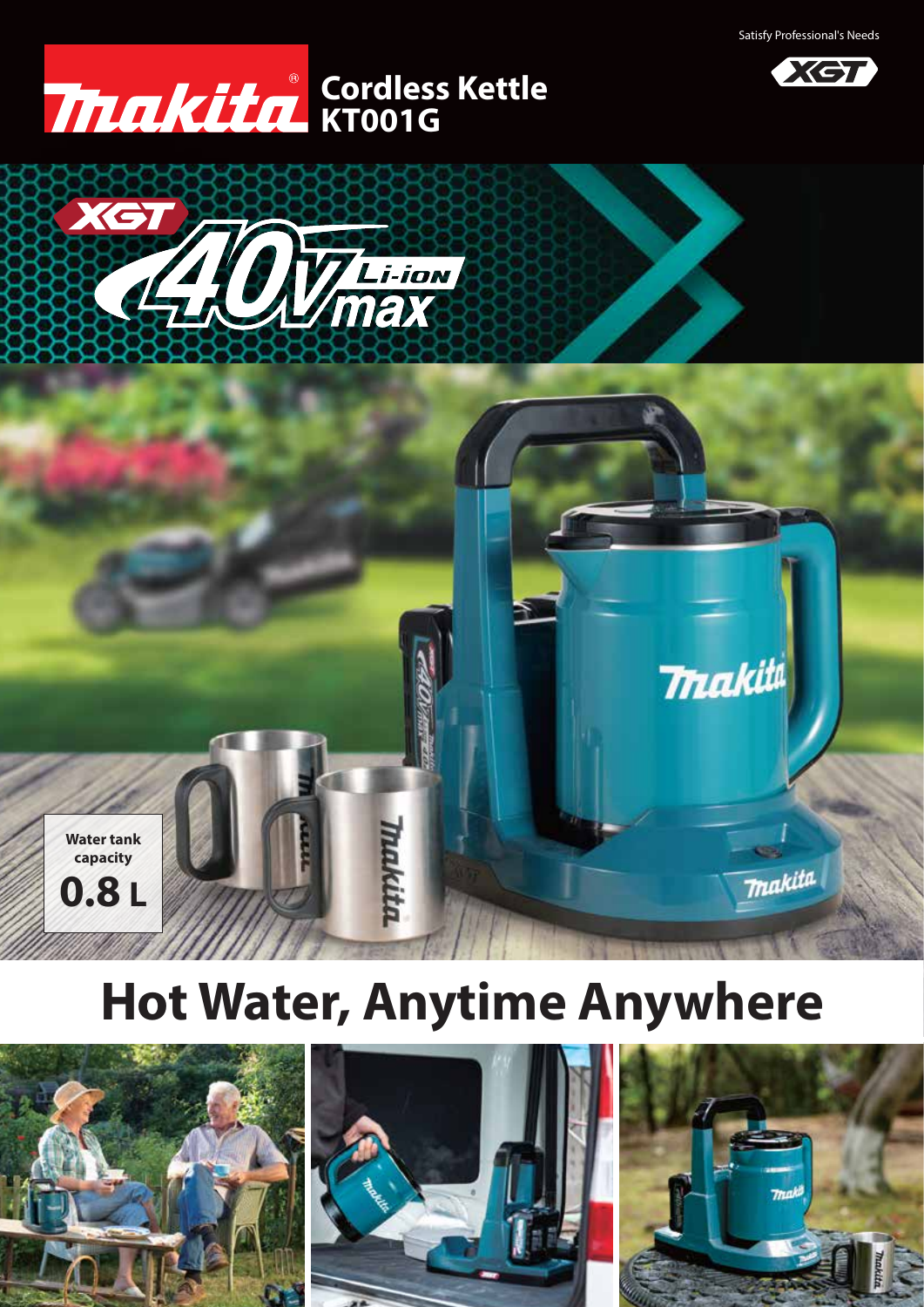

## **KT001G Cordless Kettle**





# **Hot Water, Anytime Anywhere**